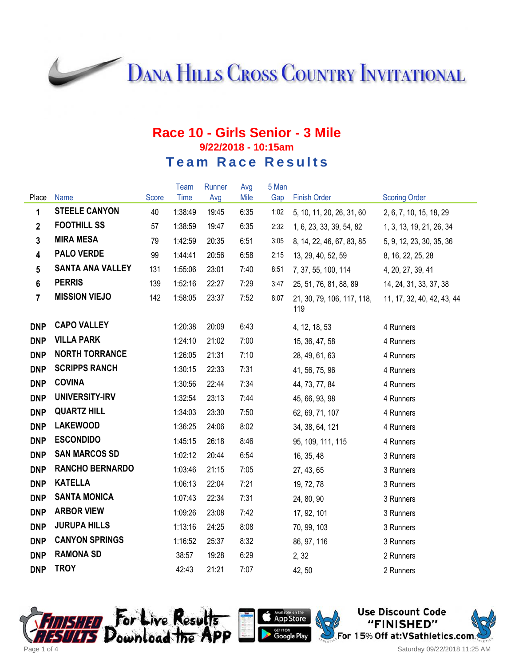**DANA HILLS CROSS COUNTRY INVITATIONAL** 

## **Race 10 - Girls Senior - 3 Mile 9/22/2018 - 10:15am Team Race Results**

|                 |                         |              | <b>Team</b> | Runner | Avg  | 5 Man |                                   |                            |
|-----------------|-------------------------|--------------|-------------|--------|------|-------|-----------------------------------|----------------------------|
| Place           | Name                    | <b>Score</b> | <b>Time</b> | Avg    | Mile | Gap   | <b>Finish Order</b>               | <b>Scoring Order</b>       |
| $\mathbf{1}$    | <b>STEELE CANYON</b>    | 40           | 1:38:49     | 19:45  | 6:35 | 1:02  | 5, 10, 11, 20, 26, 31, 60         | 2, 6, 7, 10, 15, 18, 29    |
| $\overline{2}$  | <b>FOOTHILL SS</b>      | 57           | 1:38:59     | 19:47  | 6:35 | 2:32  | 1, 6, 23, 33, 39, 54, 82          | 1, 3, 13, 19, 21, 26, 34   |
| $\mathbf{3}$    | <b>MIRA MESA</b>        | 79           | 1:42:59     | 20:35  | 6:51 | 3:05  | 8, 14, 22, 46, 67, 83, 85         | 5, 9, 12, 23, 30, 35, 36   |
| $\overline{4}$  | <b>PALO VERDE</b>       | 99           | 1:44:41     | 20:56  | 6:58 | 2:15  | 13, 29, 40, 52, 59                | 8, 16, 22, 25, 28          |
| $5\phantom{.0}$ | <b>SANTA ANA VALLEY</b> | 131          | 1:55:06     | 23:01  | 7:40 | 8:51  | 7, 37, 55, 100, 114               | 4, 20, 27, 39, 41          |
| $6\phantom{a}$  | <b>PERRIS</b>           | 139          | 1:52:16     | 22:27  | 7:29 | 3:47  | 25, 51, 76, 81, 88, 89            | 14, 24, 31, 33, 37, 38     |
| $\overline{7}$  | <b>MISSION VIEJO</b>    | 142          | 1:58:05     | 23:37  | 7:52 | 8:07  | 21, 30, 79, 106, 117, 118,<br>119 | 11, 17, 32, 40, 42, 43, 44 |
| <b>DNP</b>      | <b>CAPO VALLEY</b>      |              | 1:20:38     | 20:09  | 6:43 |       | 4, 12, 18, 53                     | 4 Runners                  |
| <b>DNP</b>      | <b>VILLA PARK</b>       |              | 1:24:10     | 21:02  | 7:00 |       | 15, 36, 47, 58                    | 4 Runners                  |
| <b>DNP</b>      | <b>NORTH TORRANCE</b>   |              | 1:26:05     | 21:31  | 7:10 |       | 28, 49, 61, 63                    | 4 Runners                  |
| <b>DNP</b>      | <b>SCRIPPS RANCH</b>    |              | 1:30:15     | 22:33  | 7:31 |       | 41, 56, 75, 96                    | 4 Runners                  |
| <b>DNP</b>      | <b>COVINA</b>           |              | 1:30:56     | 22:44  | 7:34 |       | 44, 73, 77, 84                    | 4 Runners                  |
| <b>DNP</b>      | UNIVERSITY-IRV          |              | 1:32:54     | 23:13  | 7:44 |       | 45, 66, 93, 98                    | 4 Runners                  |
| <b>DNP</b>      | <b>QUARTZ HILL</b>      |              | 1:34:03     | 23:30  | 7:50 |       | 62, 69, 71, 107                   | 4 Runners                  |
| <b>DNP</b>      | <b>LAKEWOOD</b>         |              | 1:36:25     | 24:06  | 8:02 |       | 34, 38, 64, 121                   | 4 Runners                  |
| <b>DNP</b>      | <b>ESCONDIDO</b>        |              | 1:45:15     | 26:18  | 8:46 |       | 95, 109, 111, 115                 | 4 Runners                  |
| <b>DNP</b>      | <b>SAN MARCOS SD</b>    |              | 1:02:12     | 20:44  | 6:54 |       | 16, 35, 48                        | 3 Runners                  |
| <b>DNP</b>      | <b>RANCHO BERNARDO</b>  |              | 1:03:46     | 21:15  | 7:05 |       | 27, 43, 65                        | 3 Runners                  |
| <b>DNP</b>      | <b>KATELLA</b>          |              | 1:06:13     | 22:04  | 7:21 |       | 19, 72, 78                        | 3 Runners                  |
| <b>DNP</b>      | <b>SANTA MONICA</b>     |              | 1:07:43     | 22:34  | 7:31 |       | 24, 80, 90                        | 3 Runners                  |
| <b>DNP</b>      | <b>ARBOR VIEW</b>       |              | 1:09:26     | 23:08  | 7:42 |       | 17, 92, 101                       | 3 Runners                  |
| <b>DNP</b>      | <b>JURUPA HILLS</b>     |              | 1:13:16     | 24:25  | 8:08 |       | 70, 99, 103                       | 3 Runners                  |
| <b>DNP</b>      | <b>CANYON SPRINGS</b>   |              | 1:16:52     | 25:37  | 8:32 |       | 86, 97, 116                       | 3 Runners                  |
| <b>DNP</b>      | <b>RAMONA SD</b>        |              | 38:57       | 19:28  | 6:29 |       | 2, 32                             | 2 Runners                  |
| <b>DNP</b>      | <b>TROY</b>             |              | 42:43       | 21:21  | 7:07 |       | 42, 50                            | 2 Runners                  |





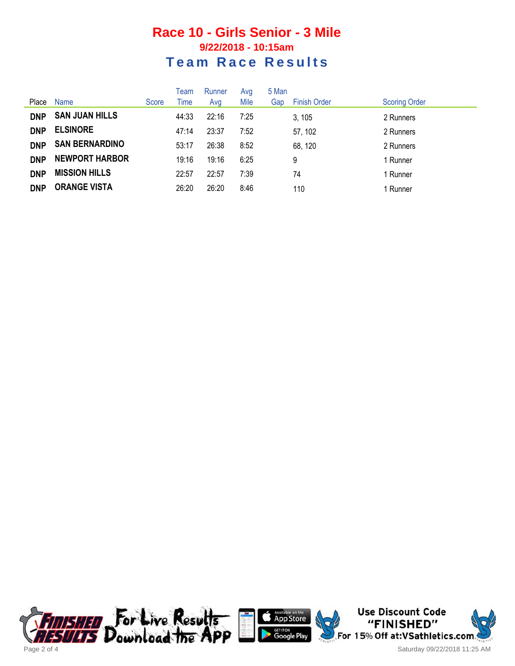## **Race 10 - Girls Senior - 3 Mile 9/22/2018 - 10:15am Team Race Results**

| Place      | <b>Name</b>           | Score | Team<br>Time | Runner<br>Avg | Avg<br>Mile | 5 Man<br>Gap | <b>Finish Order</b> | <b>Scoring Order</b> |
|------------|-----------------------|-------|--------------|---------------|-------------|--------------|---------------------|----------------------|
| <b>DNP</b> | <b>SAN JUAN HILLS</b> |       | 44:33        | 22:16         | 7:25        |              | 3, 105              | 2 Runners            |
| <b>DNP</b> | <b>ELSINORE</b>       |       | 47:14        | 23:37         | 7:52        |              | 57, 102             | 2 Runners            |
| <b>DNP</b> | <b>SAN BERNARDINO</b> |       | 53:17        | 26:38         | 8:52        |              | 68, 120             | 2 Runners            |
| <b>DNP</b> | <b>NEWPORT HARBOR</b> |       | 19:16        | 19:16         | 6:25        |              | 9                   | 1 Runner             |
| <b>DNP</b> | <b>MISSION HILLS</b>  |       | 22:57        | 22:57         | 7:39        |              | 74                  | 1 Runner             |
| <b>DNP</b> | <b>ORANGE VISTA</b>   |       | 26:20        | 26:20         | 8:46        |              | 110                 | 1 Runner             |





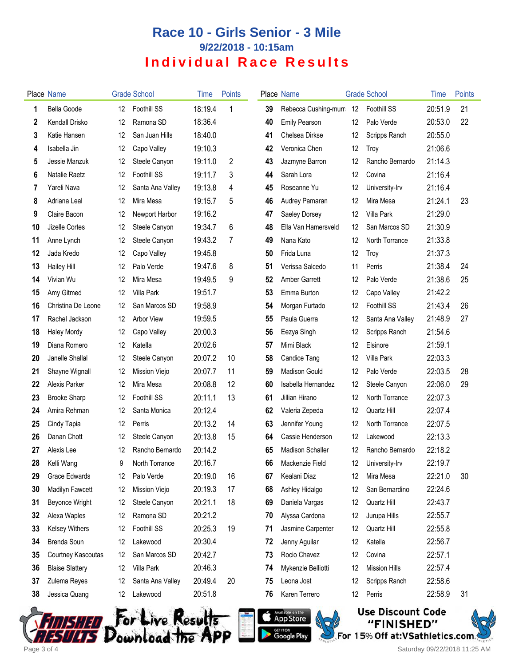## **Race 10 - Girls Senior - 3 Mile 9/22/2018 - 10:15am Individual Race Results**

|    | Place Name             |       | <b>Grade School</b> | Time    | Points |    | Place Name              |    | <b>Grade School</b>  | Time    | Points |
|----|------------------------|-------|---------------------|---------|--------|----|-------------------------|----|----------------------|---------|--------|
| 1  | Bella Goode            | 12    | Foothill SS         | 18:19.4 | 1      | 39 | Rebecca Cushing-murn 12 |    | Foothill SS          | 20:51.9 | 21     |
| 2  | Kendall Drisko         | 12    | Ramona SD           | 18:36.4 |        | 40 | <b>Emily Pearson</b>    | 12 | Palo Verde           | 20:53.0 | 22     |
| 3  | Katie Hansen           | 12    | San Juan Hills      | 18:40.0 |        | 41 | Chelsea Dirkse          | 12 | Scripps Ranch        | 20:55.0 |        |
| 4  | Isabella Jin           | 12    | Capo Valley         | 19:10.3 |        | 42 | Veronica Chen           | 12 | Troy                 | 21:06.6 |        |
| 5  | Jessie Manzuk          | 12    | Steele Canyon       | 19:11.0 | 2      | 43 | Jazmyne Barron          | 12 | Rancho Bernardo      | 21:14.3 |        |
| 6  | Natalie Raetz          | 12    | Foothill SS         | 19:11.7 | 3      | 44 | Sarah Lora              | 12 | Covina               | 21:16.4 |        |
| 7  | Yareli Nava            | 12    | Santa Ana Valley    | 19:13.8 | 4      | 45 | Roseanne Yu             | 12 | University-Irv       | 21:16.4 |        |
| 8  | Adriana Leal           | 12    | Mira Mesa           | 19:15.7 | 5      | 46 | Audrey Pamaran          | 12 | Mira Mesa            | 21:24.1 | 23     |
| 9  | Claire Bacon           | 12    | Newport Harbor      | 19:16.2 |        | 47 | Saeley Dorsey           | 12 | Villa Park           | 21:29.0 |        |
| 10 | Jizelle Cortes         | 12    | Steele Canyon       | 19:34.7 | 6      | 48 | Ella Van Hamersveld     | 12 | San Marcos SD        | 21:30.9 |        |
| 11 | Anne Lynch             | 12    | Steele Canyon       | 19:43.2 | 7      | 49 | Nana Kato               | 12 | North Torrance       | 21:33.8 |        |
| 12 | Jada Kredo             | 12    | Capo Valley         | 19:45.8 |        | 50 | Frida Luna              | 12 | Troy                 | 21:37.3 |        |
| 13 | Hailey Hill            | 12    | Palo Verde          | 19:47.6 | 8      | 51 | Verissa Salcedo         | 11 | Perris               | 21:38.4 | 24     |
| 14 | Vivian Wu              | 12    | Mira Mesa           | 19:49.5 | 9      | 52 | <b>Amber Garrett</b>    | 12 | Palo Verde           | 21:38.6 | 25     |
| 15 | Amy Gitmed             | 12    | Villa Park          | 19:51.7 |        | 53 | Emma Burton             | 12 | Capo Valley          | 21:42.2 |        |
| 16 | Christina De Leone     | 12    | San Marcos SD       | 19:58.9 |        | 54 | Morgan Furtado          | 12 | Foothill SS          | 21:43.4 | 26     |
| 17 | Rachel Jackson         | 12    | Arbor View          | 19:59.5 |        | 55 | Paula Guerra            | 12 | Santa Ana Valley     | 21:48.9 | 27     |
| 18 | <b>Haley Mordy</b>     | 12    | Capo Valley         | 20:00.3 |        | 56 | Eezya Singh             | 12 | Scripps Ranch        | 21:54.6 |        |
| 19 | Diana Romero           | 12    | Katella             | 20:02.6 |        | 57 | Mimi Black              | 12 | Elsinore             | 21:59.1 |        |
| 20 | Janelle Shallal        | 12    | Steele Canyon       | 20:07.2 | 10     | 58 | <b>Candice Tang</b>     | 12 | Villa Park           | 22:03.3 |        |
| 21 | Shayne Wignall         | 12    | Mission Viejo       | 20:07.7 | 11     | 59 | <b>Madison Gould</b>    | 12 | Palo Verde           | 22:03.5 | 28     |
| 22 | Alexis Parker          | 12    | Mira Mesa           | 20:08.8 | 12     | 60 | Isabella Hernandez      | 12 | Steele Canyon        | 22:06.0 | 29     |
| 23 | <b>Brooke Sharp</b>    | 12    | Foothill SS         | 20:11.1 | 13     | 61 | Jillian Hirano          | 12 | North Torrance       | 22:07.3 |        |
| 24 | Amira Rehman           | 12    | Santa Monica        | 20:12.4 |        | 62 | Valeria Zepeda          | 12 | Quartz Hill          | 22:07.4 |        |
| 25 | Cindy Tapia            | 12    | Perris              | 20:13.2 | 14     | 63 | Jennifer Young          | 12 | North Torrance       | 22:07.5 |        |
| 26 | Danan Chott            | 12    | Steele Canyon       | 20:13.8 | 15     | 64 | Cassie Henderson        | 12 | Lakewood             | 22:13.3 |        |
| 27 | Alexis Lee             | 12    | Rancho Bernardo     | 20:14.2 |        | 65 | <b>Madison Schaller</b> | 12 | Rancho Bernardo      | 22:18.2 |        |
| 28 | Kelli Wang             | $9\,$ | North Torrance      | 20:16.7 |        | 66 | Mackenzie Field         | 12 | University-Irv       | 22:19.7 |        |
| 29 | Grace Edwards          | 12    | Palo Verde          | 20:19.0 | 16     | 67 | Kealani Diaz            | 12 | Mira Mesa            | 22:21.0 | 30     |
| 30 | Madilyn Fawcett        | 12    | Mission Viejo       | 20:19.3 | 17     | 68 | Ashley Hidalgo          | 12 | San Bernardino       | 22:24.6 |        |
| 31 | Beyonce Wright         | 12    | Steele Canyon       | 20:21.1 | 18     | 69 | Daniela Vargas          | 12 | Quartz Hill          | 22:43.7 |        |
| 32 | Alexa Waples           | 12    | Ramona SD           | 20:21.2 |        | 70 | Alyssa Cardona          | 12 | Jurupa Hills         | 22:55.7 |        |
| 33 | <b>Kelsey Withers</b>  | 12    | Foothill SS         | 20:25.3 | 19     | 71 | Jasmine Carpenter       | 12 | Quartz Hill          | 22:55.8 |        |
| 34 | Brenda Soun            | 12    | Lakewood            | 20:30.4 |        | 72 | Jenny Aguilar           | 12 | Katella              | 22:56.7 |        |
| 35 | Courtney Kascoutas     | 12    | San Marcos SD       | 20:42.7 |        | 73 | Rocio Chavez            | 12 | Covina               | 22:57.1 |        |
| 36 | <b>Blaise Slattery</b> | 12    | Villa Park          | 20:46.3 |        | 74 | Mykenzie Belliotti      | 12 | <b>Mission Hills</b> | 22:57.4 |        |
| 37 | Zulema Reyes           | 12    | Santa Ana Valley    | 20:49.4 | 20     | 75 | Leona Jost              | 12 | Scripps Ranch        | 22:58.6 |        |
| 38 | Jessica Quang          | 12    | Lakewood            | 20:51.8 |        | 76 | Karen Terrero           | 12 | Perris               | 22:58.9 | 31     |
|    |                        |       |                     |         |        |    |                         |    |                      |         |        |